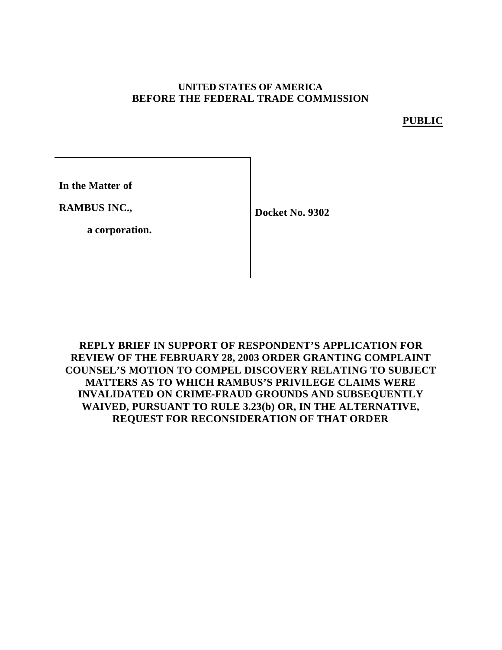### **UNITED STATES OF AMERICA BEFORE THE FEDERAL TRADE COMMISSION**

**PUBLIC**

**In the Matter of**

**RAMBUS INC.,**

**Docket No. 9302**

**a corporation.**

**REPLY BRIEF IN SUPPORT OF RESPONDENT'S APPLICATION FOR REVIEW OF THE FEBRUARY 28, 2003 ORDER GRANTING COMPLAINT COUNSEL'S MOTION TO COMPEL DISCOVERY RELATING TO SUBJECT MATTERS AS TO WHICH RAMBUS'S PRIVILEGE CLAIMS WERE INVALIDATED ON CRIME-FRAUD GROUNDS AND SUBSEQUENTLY WAIVED, PURSUANT TO RULE 3.23(b) OR, IN THE ALTERNATIVE, REQUEST FOR RECONSIDERATION OF THAT ORDER**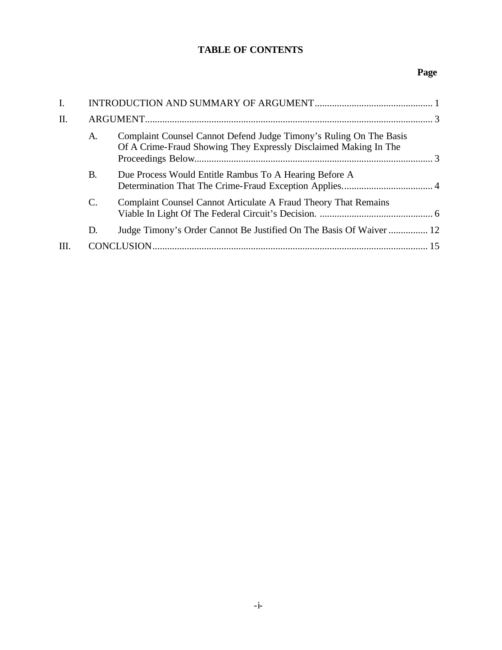## **TABLE OF CONTENTS**

## **Page**

| I.  |                 |                                                                                                                                        |    |  |  |
|-----|-----------------|----------------------------------------------------------------------------------------------------------------------------------------|----|--|--|
| Π.  |                 |                                                                                                                                        |    |  |  |
|     | A.              | Complaint Counsel Cannot Defend Judge Timony's Ruling On The Basis<br>Of A Crime-Fraud Showing They Expressly Disclaimed Making In The |    |  |  |
|     | В.              | Due Process Would Entitle Rambus To A Hearing Before A                                                                                 |    |  |  |
|     | $\mathcal{C}$ . | Complaint Counsel Cannot Articulate A Fraud Theory That Remains                                                                        |    |  |  |
|     | D.              | Judge Timony's Order Cannot Be Justified On The Basis Of Waiver  12                                                                    |    |  |  |
| HI. |                 |                                                                                                                                        | 15 |  |  |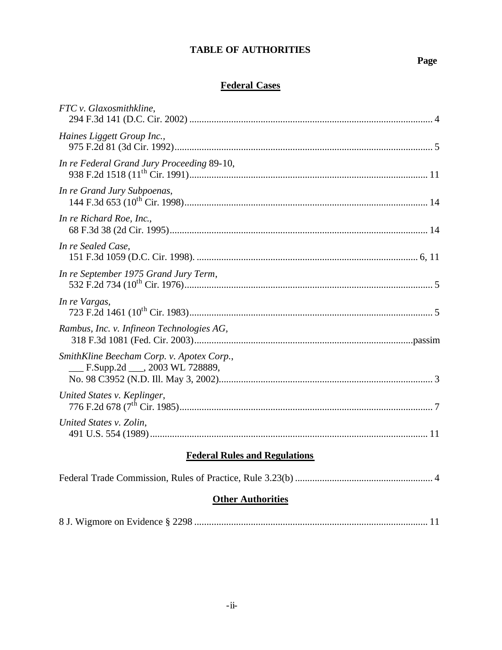## **TABLE OF AUTHORITIES**

# **Page**

# **Federal Cases**

| FTC v. Glaxosmithkline,                                                     |
|-----------------------------------------------------------------------------|
| Haines Liggett Group Inc.,                                                  |
| In re Federal Grand Jury Proceeding 89-10,                                  |
| In re Grand Jury Subpoenas,                                                 |
| In re Richard Roe, Inc.,                                                    |
| In re Sealed Case,                                                          |
| In re September 1975 Grand Jury Term,                                       |
| In re Vargas,                                                               |
| Rambus, Inc. v. Infineon Technologies AG,                                   |
| SmithKline Beecham Corp. v. Apotex Corp.,<br>F.Supp.2d ___, 2003 WL 728889, |
| United States v. Keplinger,                                                 |
| United States v. Zolin,                                                     |
| <b>Federal Rules and Regulations</b>                                        |
|                                                                             |

## **Other Authorities**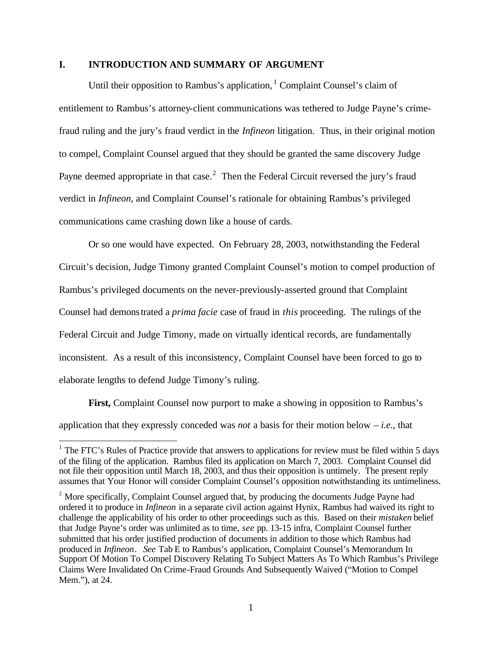#### **I. INTRODUCTION AND SUMMARY OF ARGUMENT**

Until their opposition to Rambus's application,  $1$  Complaint Counsel's claim of entitlement to Rambus's attorney-client communications was tethered to Judge Payne's crimefraud ruling and the jury's fraud verdict in the *Infineon* litigation. Thus, in their original motion to compel, Complaint Counsel argued that they should be granted the same discovery Judge Payne deemed appropriate in that case.<sup>2</sup> Then the Federal Circuit reversed the jury's fraud verdict in *Infineon*, and Complaint Counsel's rationale for obtaining Rambus's privileged communications came crashing down like a house of cards.

Or so one would have expected. On February 28, 2003, notwithstanding the Federal Circuit's decision, Judge Timony granted Complaint Counsel's motion to compel production of Rambus's privileged documents on the never-previously-asserted ground that Complaint Counsel had demonstrated a *prima facie* case of fraud in *this* proceeding. The rulings of the Federal Circuit and Judge Timony, made on virtually identical records, are fundamentally inconsistent. As a result of this inconsistency, Complaint Counsel have been forced to go to elaborate lengths to defend Judge Timony's ruling.

**First,** Complaint Counsel now purport to make a showing in opposition to Rambus's application that they expressly conceded was *not* a basis for their motion below – *i.e.*, that

 $\overline{a}$ 

 $1$  The FTC's Rules of Practice provide that answers to applications for review must be filed within 5 days of the filing of the application. Rambus filed its application on March 7, 2003. Complaint Counsel did not file their opposition until March 18, 2003, and thus their opposition is untimely. The present reply assumes that Your Honor will consider Complaint Counsel's opposition notwithstanding its untimeliness.

 $2^2$  More specifically, Complaint Counsel argued that, by producing the documents Judge Payne had ordered it to produce in *Infineon* in a separate civil action against Hynix, Rambus had waived its right to challenge the applicability of his order to other proceedings such as this. Based on their *mistaken* belief that Judge Payne's order was unlimited as to time, *see* pp. 13-15 infra, Complaint Counsel further submitted that his order justified production of documents in addition to those which Rambus had produced in *Infineon*. *See* Tab E to Rambus's application, Complaint Counsel's Memorandum In Support Of Motion To Compel Discovery Relating To Subject Matters As To Which Rambus's Privilege Claims Were Invalidated On Crime-Fraud Grounds And Subsequently Waived ("Motion to Compel Mem."), at 24.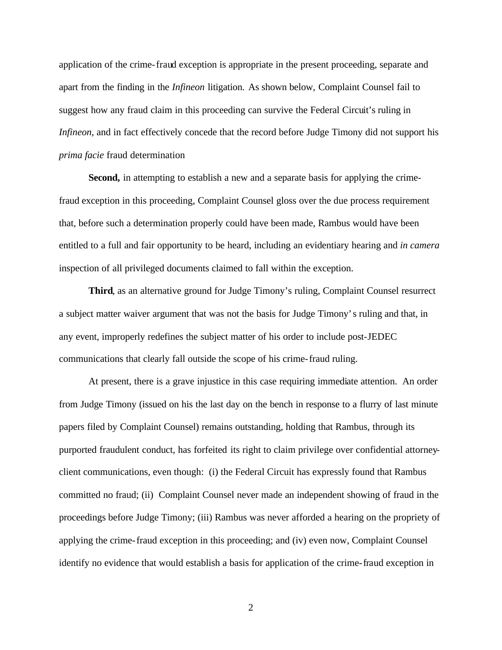application of the crime-fraud exception is appropriate in the present proceeding, separate and apart from the finding in the *Infineon* litigation. As shown below, Complaint Counsel fail to suggest how any fraud claim in this proceeding can survive the Federal Circuit's ruling in *Infineon*, and in fact effectively concede that the record before Judge Timony did not support his *prima facie* fraud determination

**Second,** in attempting to establish a new and a separate basis for applying the crimefraud exception in this proceeding, Complaint Counsel gloss over the due process requirement that, before such a determination properly could have been made, Rambus would have been entitled to a full and fair opportunity to be heard, including an evidentiary hearing and *in camera* inspection of all privileged documents claimed to fall within the exception.

**Third**, as an alternative ground for Judge Timony's ruling, Complaint Counsel resurrect a subject matter waiver argument that was not the basis for Judge Timony's ruling and that, in any event, improperly redefines the subject matter of his order to include post-JEDEC communications that clearly fall outside the scope of his crime-fraud ruling.

At present, there is a grave injustice in this case requiring immediate attention. An order from Judge Timony (issued on his the last day on the bench in response to a flurry of last minute papers filed by Complaint Counsel) remains outstanding, holding that Rambus, through its purported fraudulent conduct, has forfeited its right to claim privilege over confidential attorneyclient communications, even though: (i) the Federal Circuit has expressly found that Rambus committed no fraud; (ii) Complaint Counsel never made an independent showing of fraud in the proceedings before Judge Timony; (iii) Rambus was never afforded a hearing on the propriety of applying the crime-fraud exception in this proceeding; and (iv) even now, Complaint Counsel identify no evidence that would establish a basis for application of the crime-fraud exception in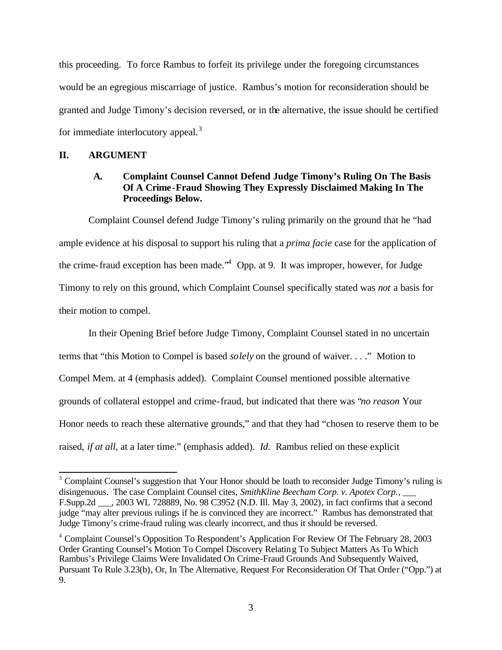this proceeding. To force Rambus to forfeit its privilege under the foregoing circumstances would be an egregious miscarriage of justice. Rambus's motion for reconsideration should be granted and Judge Timony's decision reversed, or in the alternative, the issue should be certified for immediate interlocutory appeal. $3$ 

### **II. ARGUMENT**

### **A. Complaint Counsel Cannot Defend Judge Timony's Ruling On The Basis Of A Crime-Fraud Showing They Expressly Disclaimed Making In The Proceedings Below.**

Complaint Counsel defend Judge Timony's ruling primarily on the ground that he "had ample evidence at his disposal to support his ruling that a *prima facie* case for the application of the crime-fraud exception has been made.<sup> $4$ </sup> Opp. at 9. It was improper, however, for Judge Timony to rely on this ground, which Complaint Counsel specifically stated was *not* a basis for their motion to compel.

In their Opening Brief before Judge Timony, Complaint Counsel stated in no uncertain terms that "this Motion to Compel is based *solely* on the ground of waiver. . . ." Motion to Compel Mem. at 4 (emphasis added). Complaint Counsel mentioned possible alternative grounds of collateral estoppel and crime-fraud, but indicated that there was "*no reason* Your Honor needs to reach these alternative grounds," and that they had "chosen to reserve them to be raised, *if at all*, at a later time." (emphasis added). *Id*. Rambus relied on these explicit

<sup>&</sup>lt;sup>3</sup> Complaint Counsel's suggestion that Your Honor should be loath to reconsider Judge Timony's ruling is disingenuous. The case Complaint Counsel cites, *SmithKline Beecham Corp. v. Apotex Corp.*, \_\_\_ F.Supp.2d \_\_\_, 2003 WL 728889, No. 98 C3952 (N.D. Ill. May 3, 2002), in fact confirms that a second judge "may alter previous rulings if he is convinced they are incorrect." Rambus has demonstrated that Judge Timony's crime-fraud ruling was clearly incorrect, and thus it should be reversed.

<sup>&</sup>lt;sup>4</sup> Complaint Counsel's Opposition To Respondent's Application For Review Of The February 28, 2003 Order Granting Counsel's Motion To Compel Discovery Relating To Subject Matters As To Which Rambus's Privilege Claims Were Invalidated On Crime-Fraud Grounds And Subsequently Waived, Pursuant To Rule 3.23(b), Or, In The Alternative, Request For Reconsideration Of That Order ("Opp.") at 9.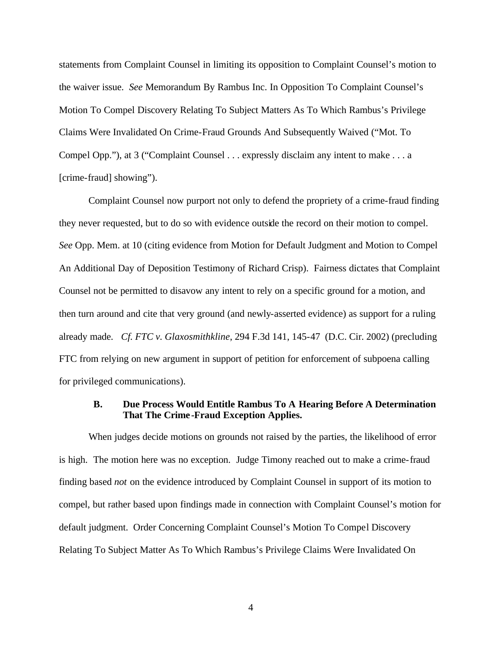statements from Complaint Counsel in limiting its opposition to Complaint Counsel's motion to the waiver issue. *See* Memorandum By Rambus Inc. In Opposition To Complaint Counsel's Motion To Compel Discovery Relating To Subject Matters As To Which Rambus's Privilege Claims Were Invalidated On Crime-Fraud Grounds And Subsequently Waived ("Mot. To Compel Opp."), at 3 ("Complaint Counsel . . . expressly disclaim any intent to make . . . a [crime-fraud] showing").

Complaint Counsel now purport not only to defend the propriety of a crime-fraud finding they never requested, but to do so with evidence outside the record on their motion to compel. *See* Opp. Mem. at 10 (citing evidence from Motion for Default Judgment and Motion to Compel An Additional Day of Deposition Testimony of Richard Crisp). Fairness dictates that Complaint Counsel not be permitted to disavow any intent to rely on a specific ground for a motion, and then turn around and cite that very ground (and newly-asserted evidence) as support for a ruling already made. *Cf. FTC v. Glaxosmithkline*, 294 F.3d 141, 145-47 (D.C. Cir. 2002) (precluding FTC from relying on new argument in support of petition for enforcement of subpoena calling for privileged communications).

### **B. Due Process Would Entitle Rambus To A Hearing Before A Determination That The Crime-Fraud Exception Applies.**

When judges decide motions on grounds not raised by the parties, the likelihood of error is high. The motion here was no exception. Judge Timony reached out to make a crime-fraud finding based *not* on the evidence introduced by Complaint Counsel in support of its motion to compel, but rather based upon findings made in connection with Complaint Counsel's motion for default judgment. Order Concerning Complaint Counsel's Motion To Compel Discovery Relating To Subject Matter As To Which Rambus's Privilege Claims Were Invalidated On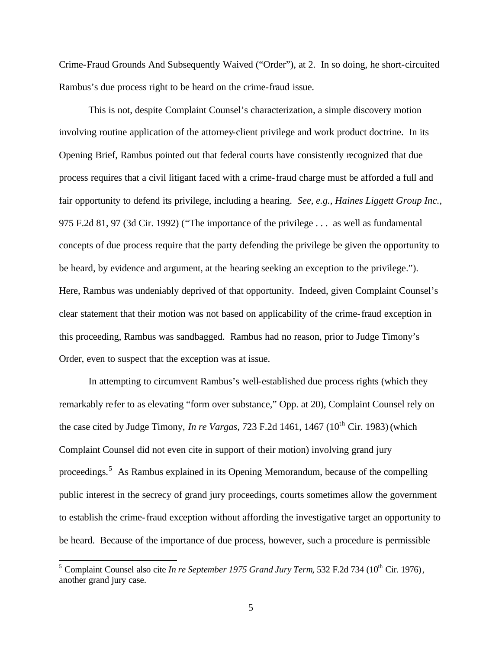Crime-Fraud Grounds And Subsequently Waived ("Order"), at 2. In so doing, he short-circuited Rambus's due process right to be heard on the crime-fraud issue.

This is not, despite Complaint Counsel's characterization, a simple discovery motion involving routine application of the attorney-client privilege and work product doctrine. In its Opening Brief, Rambus pointed out that federal courts have consistently recognized that due process requires that a civil litigant faced with a crime-fraud charge must be afforded a full and fair opportunity to defend its privilege, including a hearing. *See*, *e.g.*, *Haines Liggett Group Inc.,*  975 F.2d 81, 97 (3d Cir. 1992) ("The importance of the privilege . . . as well as fundamental concepts of due process require that the party defending the privilege be given the opportunity to be heard, by evidence and argument, at the hearing seeking an exception to the privilege."). Here, Rambus was undeniably deprived of that opportunity. Indeed, given Complaint Counsel's clear statement that their motion was not based on applicability of the crime-fraud exception in this proceeding, Rambus was sandbagged. Rambus had no reason, prior to Judge Timony's Order, even to suspect that the exception was at issue.

In attempting to circumvent Rambus's well-established due process rights (which they remarkably refer to as elevating "form over substance," Opp. at 20), Complaint Counsel rely on the case cited by Judge Timony, *In re Vargas*, 723 F.2d 1461, 1467 ( $10^{th}$  Cir. 1983) (which Complaint Counsel did not even cite in support of their motion) involving grand jury proceedings.<sup>5</sup> As Rambus explained in its Opening Memorandum, because of the compelling public interest in the secrecy of grand jury proceedings, courts sometimes allow the government to establish the crime-fraud exception without affording the investigative target an opportunity to be heard. Because of the importance of due process, however, such a procedure is permissible

 $\overline{\phantom{a}}$ 

<sup>&</sup>lt;sup>5</sup> Complaint Counsel also cite *In re September 1975 Grand Jury Term*, 532 F.2d 734 (10<sup>th</sup> Cir. 1976), another grand jury case.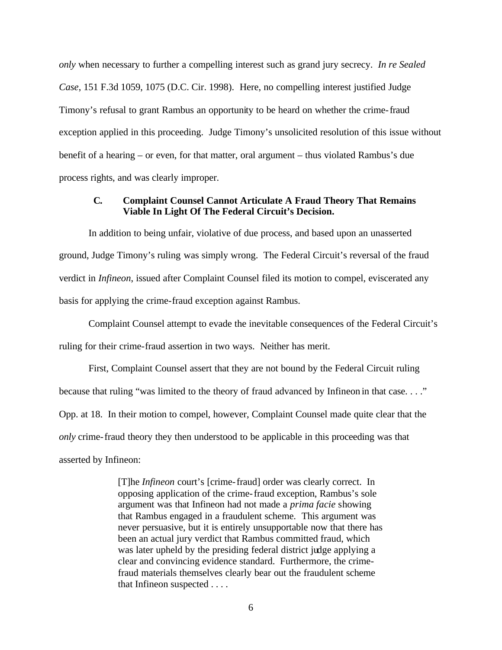*only* when necessary to further a compelling interest such as grand jury secrecy. *In re Sealed Case*, 151 F.3d 1059, 1075 (D.C. Cir. 1998). Here, no compelling interest justified Judge Timony's refusal to grant Rambus an opportunity to be heard on whether the crime-fraud exception applied in this proceeding. Judge Timony's unsolicited resolution of this issue without benefit of a hearing – or even, for that matter, oral argument – thus violated Rambus's due process rights, and was clearly improper.

### **C. Complaint Counsel Cannot Articulate A Fraud Theory That Remains Viable In Light Of The Federal Circuit's Decision.**

In addition to being unfair, violative of due process, and based upon an unasserted ground, Judge Timony's ruling was simply wrong. The Federal Circuit's reversal of the fraud verdict in *Infineon*, issued after Complaint Counsel filed its motion to compel, eviscerated any basis for applying the crime-fraud exception against Rambus.

Complaint Counsel attempt to evade the inevitable consequences of the Federal Circuit's ruling for their crime-fraud assertion in two ways. Neither has merit.

First, Complaint Counsel assert that they are not bound by the Federal Circuit ruling because that ruling "was limited to the theory of fraud advanced by Infineon in that case...." Opp. at 18. In their motion to compel, however, Complaint Counsel made quite clear that the *only* crime-fraud theory they then understood to be applicable in this proceeding was that asserted by Infineon:

> [T]he *Infineon* court's [crime-fraud] order was clearly correct. In opposing application of the crime-fraud exception, Rambus's sole argument was that Infineon had not made a *prima facie* showing that Rambus engaged in a fraudulent scheme. This argument was never persuasive, but it is entirely unsupportable now that there has been an actual jury verdict that Rambus committed fraud, which was later upheld by the presiding federal district judge applying a clear and convincing evidence standard. Furthermore, the crimefraud materials themselves clearly bear out the fraudulent scheme that Infineon suspected . . . .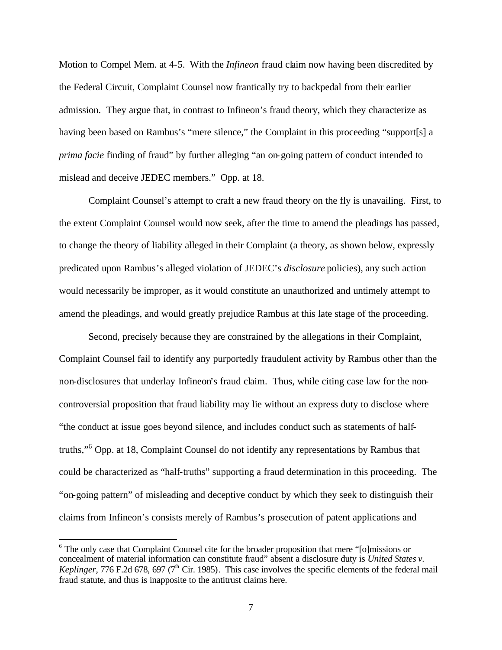Motion to Compel Mem. at 4-5. With the *Infineon* fraud claim now having been discredited by the Federal Circuit, Complaint Counsel now frantically try to backpedal from their earlier admission. They argue that, in contrast to Infineon's fraud theory, which they characterize as having been based on Rambus's "mere silence," the Complaint in this proceeding "support[s] a *prima facie* finding of fraud" by further alleging "an on-going pattern of conduct intended to mislead and deceive JEDEC members." Opp. at 18.

Complaint Counsel's attempt to craft a new fraud theory on the fly is unavailing. First, to the extent Complaint Counsel would now seek, after the time to amend the pleadings has passed, to change the theory of liability alleged in their Complaint (a theory, as shown below, expressly predicated upon Rambus's alleged violation of JEDEC's *disclosure* policies), any such action would necessarily be improper, as it would constitute an unauthorized and untimely attempt to amend the pleadings, and would greatly prejudice Rambus at this late stage of the proceeding.

Second, precisely because they are constrained by the allegations in their Complaint, Complaint Counsel fail to identify any purportedly fraudulent activity by Rambus other than the non-disclosures that underlay Infineon's fraud claim. Thus, while citing case law for the noncontroversial proposition that fraud liability may lie without an express duty to disclose where "the conduct at issue goes beyond silence, and includes conduct such as statements of halftruths,"<sup>6</sup> Opp. at 18, Complaint Counsel do not identify any representations by Rambus that could be characterized as "half-truths" supporting a fraud determination in this proceeding. The "on-going pattern" of misleading and deceptive conduct by which they seek to distinguish their claims from Infineon's consists merely of Rambus's prosecution of patent applications and

 $\overline{a}$ 

<sup>&</sup>lt;sup>6</sup> The only case that Complaint Counsel cite for the broader proposition that mere "[o]missions or concealment of material information can constitute fraud" absent a disclosure duty is *United States v. Keplinger*, 776 F.2d 678, 697 ( $7<sup>th</sup>$  Cir. 1985). This case involves the specific elements of the federal mail fraud statute, and thus is inapposite to the antitrust claims here.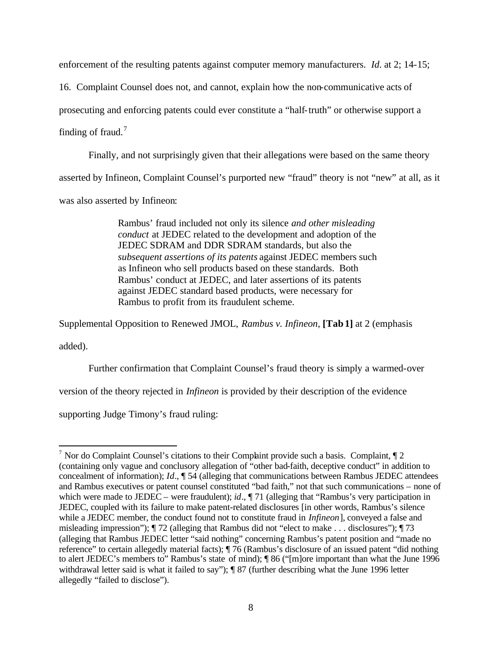enforcement of the resulting patents against computer memory manufacturers. *Id*. at 2; 14-15;

16. Complaint Counsel does not, and cannot, explain how the non-communicative acts of

prosecuting and enforcing patents could ever constitute a "half-truth" or otherwise support a

finding of fraud.<sup>7</sup>

Finally, and not surprisingly given that their allegations were based on the same theory

asserted by Infineon, Complaint Counsel's purported new "fraud" theory is not "new" at all, as it

was also asserted by Infineon:

Rambus' fraud included not only its silence *and other misleading conduct* at JEDEC related to the development and adoption of the JEDEC SDRAM and DDR SDRAM standards, but also the *subsequent assertions of its patents* against JEDEC members such as Infineon who sell products based on these standards. Both Rambus' conduct at JEDEC, and later assertions of its patents against JEDEC standard based products, were necessary for Rambus to profit from its fraudulent scheme.

Supplemental Opposition to Renewed JMOL, *Rambus v. Infineon*, **[Tab 1]** at 2 (emphasis

added).

Further confirmation that Complaint Counsel's fraud theory is simply a warmed-over

version of the theory rejected in *Infineon* is provided by their description of the evidence

supporting Judge Timony's fraud ruling:

<sup>&</sup>lt;sup>7</sup> Nor do Complaint Counsel's citations to their Complaint provide such a basis. Complaint,  $\sqrt{\frac{2}{n}}$ (containing only vague and conclusory allegation of "other bad-faith, deceptive conduct" in addition to concealment of information); *Id*., ¶ 54 (alleging that communications between Rambus JEDEC attendees and Rambus executives or patent counsel constituted "bad faith," not that such communications – none of which were made to JEDEC – were fraudulent); *id*.,  $\P$  71 (alleging that "Rambus's very participation in JEDEC, coupled with its failure to make patent-related disclosures [in other words, Rambus's silence while a JEDEC member, the conduct found not to constitute fraud in *Infineon*], conveyed a false and misleading impression"); ¶ 72 (alleging that Rambus did not "elect to make . . . disclosures"); ¶ 73 (alleging that Rambus JEDEC letter "said nothing" concerning Rambus's patent position and "made no reference" to certain allegedly material facts); ¶ 76 (Rambus's disclosure of an issued patent "did nothing to alert JEDEC's members to" Rambus's state of mind); ¶ 86 ("[m]ore important than what the June 1996 withdrawal letter said is what it failed to say");  $\sqrt{\frac{87}{7}}$  (further describing what the June 1996 letter allegedly "failed to disclose").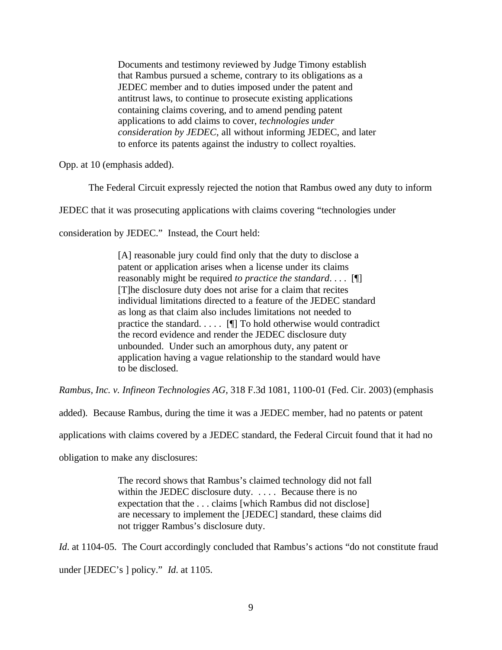Documents and testimony reviewed by Judge Timony establish that Rambus pursued a scheme, contrary to its obligations as a JEDEC member and to duties imposed under the patent and antitrust laws, to continue to prosecute existing applications containing claims covering, and to amend pending patent applications to add claims to cover, *technologies under consideration by JEDEC*, all without informing JEDEC, and later to enforce its patents against the industry to collect royalties.

Opp. at 10 (emphasis added).

The Federal Circuit expressly rejected the notion that Rambus owed any duty to inform

JEDEC that it was prosecuting applications with claims covering "technologies under

consideration by JEDEC." Instead, the Court held:

[A] reasonable jury could find only that the duty to disclose a patent or application arises when a license under its claims reasonably might be required *to practice the standard*. . . . [¶] [T]he disclosure duty does not arise for a claim that recites individual limitations directed to a feature of the JEDEC standard as long as that claim also includes limitations not needed to practice the standard. . . . . [¶] To hold otherwise would contradict the record evidence and render the JEDEC disclosure duty unbounded. Under such an amorphous duty, any patent or application having a vague relationship to the standard would have to be disclosed.

*Rambus, Inc. v. Infineon Technologies AG,* 318 F.3d 1081, 1100-01 (Fed. Cir. 2003) (emphasis

added). Because Rambus, during the time it was a JEDEC member, had no patents or patent

applications with claims covered by a JEDEC standard, the Federal Circuit found that it had no

obligation to make any disclosures:

The record shows that Rambus's claimed technology did not fall within the JEDEC disclosure duty. . . . . Because there is no expectation that the . . . claims [which Rambus did not disclose] are necessary to implement the [JEDEC] standard, these claims did not trigger Rambus's disclosure duty.

*Id.* at 1104-05. The Court accordingly concluded that Rambus's actions "do not constitute fraud under [JEDEC's ] policy." *Id*. at 1105.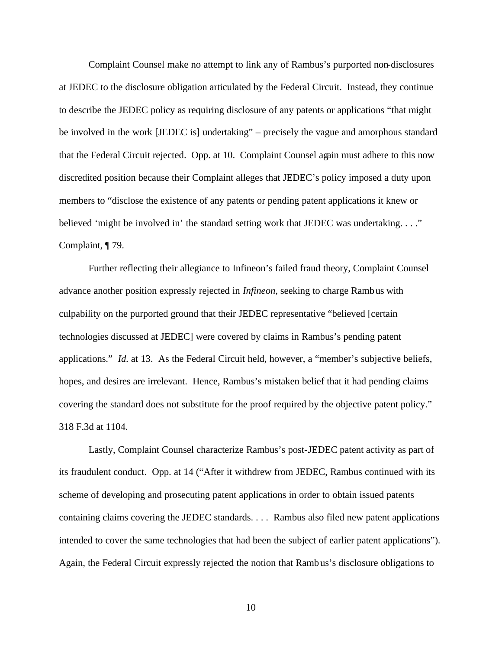Complaint Counsel make no attempt to link any of Rambus's purported non-disclosures at JEDEC to the disclosure obligation articulated by the Federal Circuit. Instead, they continue to describe the JEDEC policy as requiring disclosure of any patents or applications "that might be involved in the work [JEDEC is] undertaking" – precisely the vague and amorphous standard that the Federal Circuit rejected. Opp. at 10. Complaint Counsel again must adhere to this now discredited position because their Complaint alleges that JEDEC's policy imposed a duty upon members to "disclose the existence of any patents or pending patent applications it knew or believed 'might be involved in' the standard setting work that JEDEC was undertaking...." Complaint, ¶ 79.

Further reflecting their allegiance to Infineon's failed fraud theory, Complaint Counsel advance another position expressly rejected in *Infineon*, seeking to charge Rambus with culpability on the purported ground that their JEDEC representative "believed [certain technologies discussed at JEDEC] were covered by claims in Rambus's pending patent applications." *Id*. at 13. As the Federal Circuit held, however, a "member's subjective beliefs, hopes, and desires are irrelevant. Hence, Rambus's mistaken belief that it had pending claims covering the standard does not substitute for the proof required by the objective patent policy." 318 F.3d at 1104.

Lastly, Complaint Counsel characterize Rambus's post-JEDEC patent activity as part of its fraudulent conduct. Opp. at 14 ("After it withdrew from JEDEC, Rambus continued with its scheme of developing and prosecuting patent applications in order to obtain issued patents containing claims covering the JEDEC standards. . . . Rambus also filed new patent applications intended to cover the same technologies that had been the subject of earlier patent applications"). Again, the Federal Circuit expressly rejected the notion that Rambus's disclosure obligations to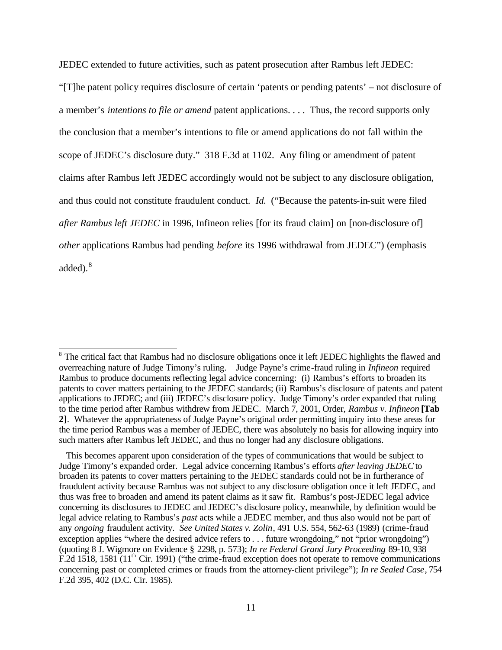JEDEC extended to future activities, such as patent prosecution after Rambus left JEDEC: "[T]he patent policy requires disclosure of certain 'patents or pending patents' – not disclosure of a member's *intentions to file or amend* patent applications. . . . Thus, the record supports only the conclusion that a member's intentions to file or amend applications do not fall within the scope of JEDEC's disclosure duty." 318 F.3d at 1102. Any filing or amendment of patent claims after Rambus left JEDEC accordingly would not be subject to any disclosure obligation, and thus could not constitute fraudulent conduct. *Id.* ("Because the patents-in-suit were filed *after Rambus left JEDEC* in 1996, Infineon relies [for its fraud claim] on [non-disclosure of] *other* applications Rambus had pending *before* its 1996 withdrawal from JEDEC") (emphasis added).<sup>8</sup>

 $\overline{\phantom{a}}$ <sup>8</sup> The critical fact that Rambus had no disclosure obligations once it left JEDEC highlights the flawed and overreaching nature of Judge Timony's ruling. Judge Payne's crime-fraud ruling in *Infineon* required Rambus to produce documents reflecting legal advice concerning: (i) Rambus's efforts to broaden its patents to cover matters pertaining to the JEDEC standards; (ii) Rambus's disclosure of patents and patent applications to JEDEC; and (iii) JEDEC's disclosure policy. Judge Timony's order expanded that ruling to the time period after Rambus withdrew from JEDEC. March 7, 2001, Order, *Rambus v. Infineon* **[Tab 2]**. Whatever the appropriateness of Judge Payne's original order permitting inquiry into these areas for the time period Rambus was a member of JEDEC, there was absolutely no basis for allowing inquiry into such matters after Rambus left JEDEC, and thus no longer had any disclosure obligations.

This becomes apparent upon consideration of the types of communications that would be subject to Judge Timony's expanded order. Legal advice concerning Rambus's efforts *after leaving JEDEC* to broaden its patents to cover matters pertaining to the JEDEC standards could not be in furtherance of fraudulent activity because Rambus was not subject to any disclosure obligation once it left JEDEC, and thus was free to broaden and amend its patent claims as it saw fit. Rambus's post-JEDEC legal advice concerning its disclosures to JEDEC and JEDEC's disclosure policy, meanwhile, by definition would be legal advice relating to Rambus's *past* acts while a JEDEC member, and thus also would not be part of any *ongoing* fraudulent activity. *See United States v. Zolin*, 491 U.S. 554, 562-63 (1989) (crime-fraud exception applies "where the desired advice refers to . . . future wrongdoing," not "prior wrongdoing") (quoting 8 J. Wigmore on Evidence § 2298, p. 573); *In re Federal Grand Jury Proceeding* 89-10, 938 F.2d 1518, 1581 (11<sup>th</sup> Cir. 1991) ("the crime-fraud exception does not operate to remove communications concerning past or completed crimes or frauds from the attorney-client privilege"); *In re Sealed Case*, 754 F.2d 395, 402 (D.C. Cir. 1985).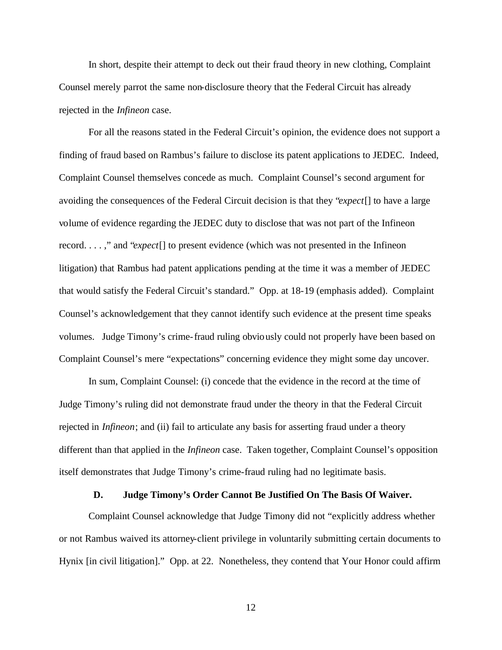In short, despite their attempt to deck out their fraud theory in new clothing, Complaint Counsel merely parrot the same non-disclosure theory that the Federal Circuit has already rejected in the *Infineon* case.

For all the reasons stated in the Federal Circuit's opinion, the evidence does not support a finding of fraud based on Rambus's failure to disclose its patent applications to JEDEC. Indeed, Complaint Counsel themselves concede as much. Complaint Counsel's second argument for avoiding the consequences of the Federal Circuit decision is that they "*expect*[] to have a large volume of evidence regarding the JEDEC duty to disclose that was not part of the Infineon record. . . . ," and "*expect*[] to present evidence (which was not presented in the Infineon litigation) that Rambus had patent applications pending at the time it was a member of JEDEC that would satisfy the Federal Circuit's standard." Opp. at 18-19 (emphasis added). Complaint Counsel's acknowledgement that they cannot identify such evidence at the present time speaks volumes. Judge Timony's crime-fraud ruling obviously could not properly have been based on Complaint Counsel's mere "expectations" concerning evidence they might some day uncover.

In sum, Complaint Counsel: (i) concede that the evidence in the record at the time of Judge Timony's ruling did not demonstrate fraud under the theory in that the Federal Circuit rejected in *Infineon*; and (ii) fail to articulate any basis for asserting fraud under a theory different than that applied in the *Infineon* case. Taken together, Complaint Counsel's opposition itself demonstrates that Judge Timony's crime-fraud ruling had no legitimate basis.

#### **D. Judge Timony's Order Cannot Be Justified On The Basis Of Waiver.**

Complaint Counsel acknowledge that Judge Timony did not "explicitly address whether or not Rambus waived its attorney-client privilege in voluntarily submitting certain documents to Hynix [in civil litigation]." Opp. at 22. Nonetheless, they contend that Your Honor could affirm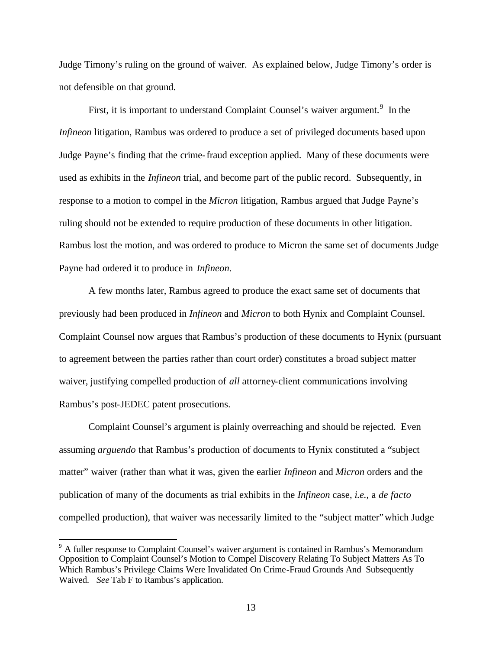Judge Timony's ruling on the ground of waiver. As explained below, Judge Timony's order is not defensible on that ground.

First, it is important to understand Complaint Counsel's waiver argument.<sup>9</sup> In the *Infineon* litigation, Rambus was ordered to produce a set of privileged documents based upon Judge Payne's finding that the crime-fraud exception applied. Many of these documents were used as exhibits in the *Infineon* trial, and become part of the public record. Subsequently, in response to a motion to compel in the *Micron* litigation, Rambus argued that Judge Payne's ruling should not be extended to require production of these documents in other litigation. Rambus lost the motion, and was ordered to produce to Micron the same set of documents Judge Payne had ordered it to produce in *Infineon*.

A few months later, Rambus agreed to produce the exact same set of documents that previously had been produced in *Infineon* and *Micron* to both Hynix and Complaint Counsel. Complaint Counsel now argues that Rambus's production of these documents to Hynix (pursuant to agreement between the parties rather than court order) constitutes a broad subject matter waiver, justifying compelled production of *all* attorney-client communications involving Rambus's post-JEDEC patent prosecutions.

Complaint Counsel's argument is plainly overreaching and should be rejected. Even assuming *arguendo* that Rambus's production of documents to Hynix constituted a "subject matter" waiver (rather than what it was, given the earlier *Infineon* and *Micron* orders and the publication of many of the documents as trial exhibits in the *Infineon* case, *i.e.*, a *de facto* compelled production), that waiver was necessarily limited to the "subject matter" which Judge

 $\overline{a}$ 

<sup>&</sup>lt;sup>9</sup> A fuller response to Complaint Counsel's waiver argument is contained in Rambus's Memorandum Opposition to Complaint Counsel's Motion to Compel Discovery Relating To Subject Matters As To Which Rambus's Privilege Claims Were Invalidated On Crime-Fraud Grounds And Subsequently Waived. *See* Tab F to Rambus's application.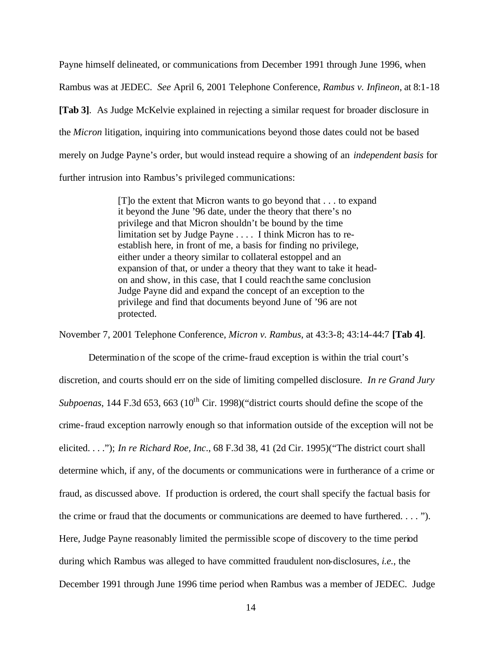Payne himself delineated, or communications from December 1991 through June 1996, when Rambus was at JEDEC. *See* April 6, 2001 Telephone Conference, *Rambus v. Infineon*, at 8:1-18 **[Tab 3]**. As Judge McKelvie explained in rejecting a similar request for broader disclosure in the *Micron* litigation, inquiring into communications beyond those dates could not be based merely on Judge Payne's order, but would instead require a showing of an *independent basis* for further intrusion into Rambus's privileged communications:

> [T]o the extent that Micron wants to go beyond that . . . to expand it beyond the June '96 date, under the theory that there's no privilege and that Micron shouldn't be bound by the time limitation set by Judge Payne . . . . I think Micron has to reestablish here, in front of me, a basis for finding no privilege, either under a theory similar to collateral estoppel and an expansion of that, or under a theory that they want to take it headon and show, in this case, that I could reach the same conclusion Judge Payne did and expand the concept of an exception to the privilege and find that documents beyond June of '96 are not protected.

November 7, 2001 Telephone Conference, *Micron v. Rambus,* at 43:3-8; 43:14-44:7 **[Tab 4]**.

Determination of the scope of the crime-fraud exception is within the trial court's discretion, and courts should err on the side of limiting compelled disclosure. *In re Grand Jury Subpoenas*, 144 F.3d 653, 663 (10<sup>th</sup> Cir. 1998) "district courts should define the scope of the crime-fraud exception narrowly enough so that information outside of the exception will not be elicited. . . ."); *In re Richard Roe, Inc*., 68 F.3d 38, 41 (2d Cir. 1995)("The district court shall determine which, if any, of the documents or communications were in furtherance of a crime or fraud, as discussed above. If production is ordered, the court shall specify the factual basis for the crime or fraud that the documents or communications are deemed to have furthered. . . . "). Here, Judge Payne reasonably limited the permissible scope of discovery to the time period during which Rambus was alleged to have committed fraudulent non-disclosures, *i.e.*, the December 1991 through June 1996 time period when Rambus was a member of JEDEC. Judge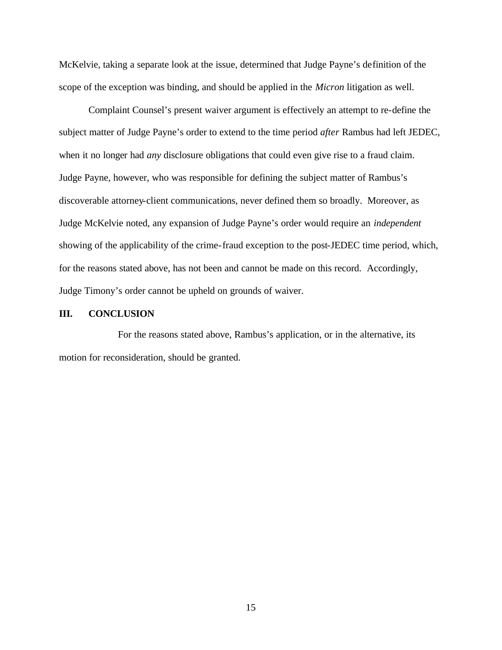McKelvie, taking a separate look at the issue, determined that Judge Payne's definition of the scope of the exception was binding, and should be applied in the *Micron* litigation as well.

Complaint Counsel's present waiver argument is effectively an attempt to re-define the subject matter of Judge Payne's order to extend to the time period *after* Rambus had left JEDEC, when it no longer had *any* disclosure obligations that could even give rise to a fraud claim. Judge Payne, however, who was responsible for defining the subject matter of Rambus's discoverable attorney-client communications, never defined them so broadly. Moreover, as Judge McKelvie noted, any expansion of Judge Payne's order would require an *independent* showing of the applicability of the crime-fraud exception to the post-JEDEC time period, which, for the reasons stated above, has not been and cannot be made on this record. Accordingly, Judge Timony's order cannot be upheld on grounds of waiver.

### **III. CONCLUSION**

For the reasons stated above, Rambus's application, or in the alternative, its motion for reconsideration, should be granted.